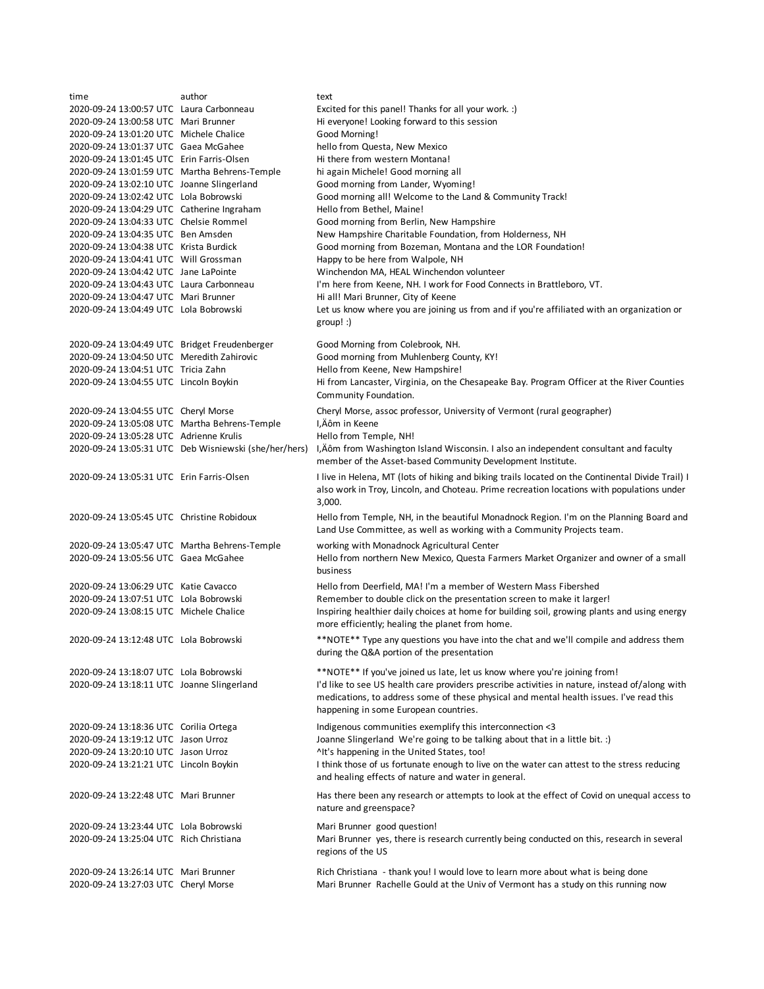| time                                          | author                                                | text                                                                                              |
|-----------------------------------------------|-------------------------------------------------------|---------------------------------------------------------------------------------------------------|
| 2020-09-24 13:00:57 UTC Laura Carbonneau      |                                                       | Excited for this panel! Thanks for all your work. :)                                              |
| 2020-09-24 13:00:58 UTC Mari Brunner          |                                                       | Hi everyone! Looking forward to this session                                                      |
| 2020-09-24 13:01:20 UTC Michele Chalice       |                                                       | Good Morning!                                                                                     |
| 2020-09-24 13:01:37 UTC Gaea McGahee          |                                                       | hello from Questa, New Mexico                                                                     |
| 2020-09-24 13:01:45 UTC Erin Farris-Olsen     |                                                       | Hi there from western Montana!                                                                    |
| 2020-09-24 13:01:59 UTC Martha Behrens-Temple |                                                       | hi again Michele! Good morning all                                                                |
| 2020-09-24 13:02:10 UTC Joanne Slingerland    |                                                       | Good morning from Lander, Wyoming!                                                                |
| 2020-09-24 13:02:42 UTC Lola Bobrowski        |                                                       | Good morning all! Welcome to the Land & Community Track!                                          |
| 2020-09-24 13:04:29 UTC Catherine Ingraham    |                                                       | Hello from Bethel, Maine!                                                                         |
| 2020-09-24 13:04:33 UTC Chelsie Rommel        |                                                       | Good morning from Berlin, New Hampshire                                                           |
| 2020-09-24 13:04:35 UTC Ben Amsden            |                                                       | New Hampshire Charitable Foundation, from Holderness, NH                                          |
| 2020-09-24 13:04:38 UTC Krista Burdick        |                                                       | Good morning from Bozeman, Montana and the LOR Foundation!                                        |
| 2020-09-24 13:04:41 UTC Will Grossman         |                                                       | Happy to be here from Walpole, NH                                                                 |
| 2020-09-24 13:04:42 UTC Jane LaPointe         |                                                       | Winchendon MA, HEAL Winchendon volunteer                                                          |
| 2020-09-24 13:04:43 UTC Laura Carbonneau      |                                                       | I'm here from Keene, NH. I work for Food Connects in Brattleboro, VT.                             |
| 2020-09-24 13:04:47 UTC Mari Brunner          |                                                       | Hi all! Mari Brunner, City of Keene                                                               |
| 2020-09-24 13:04:49 UTC Lola Bobrowski        |                                                       | Let us know where you are joining us from and if you're affiliated with an organization or        |
|                                               |                                                       | $group:$ )                                                                                        |
| 2020-09-24 13:04:49 UTC Bridget Freudenberger |                                                       | Good Morning from Colebrook, NH.                                                                  |
| 2020-09-24 13:04:50 UTC Meredith Zahirovic    |                                                       | Good morning from Muhlenberg County, KY!                                                          |
| 2020-09-24 13:04:51 UTC Tricia Zahn           |                                                       | Hello from Keene, New Hampshire!                                                                  |
| 2020-09-24 13:04:55 UTC Lincoln Boykin        |                                                       | Hi from Lancaster, Virginia, on the Chesapeake Bay. Program Officer at the River Counties         |
|                                               |                                                       | Community Foundation.                                                                             |
| 2020-09-24 13:04:55 UTC Cheryl Morse          |                                                       | Cheryl Morse, assoc professor, University of Vermont (rural geographer)                           |
| 2020-09-24 13:05:08 UTC Martha Behrens-Temple |                                                       | I,Äôm in Keene                                                                                    |
| 2020-09-24 13:05:28 UTC Adrienne Krulis       |                                                       | Hello from Temple, NH!                                                                            |
|                                               | 2020-09-24 13:05:31 UTC Deb Wisniewski (she/her/hers) | I, Aôm from Washington Island Wisconsin. I also an independent consultant and faculty             |
|                                               |                                                       | member of the Asset-based Community Development Institute.                                        |
| 2020-09-24 13:05:31 UTC Erin Farris-Olsen     |                                                       | I live in Helena, MT (lots of hiking and biking trails located on the Continental Divide Trail) I |
|                                               |                                                       | also work in Troy, Lincoln, and Choteau. Prime recreation locations with populations under        |
|                                               |                                                       | 3,000.                                                                                            |
| 2020-09-24 13:05:45 UTC Christine Robidoux    |                                                       | Hello from Temple, NH, in the beautiful Monadnock Region. I'm on the Planning Board and           |
|                                               |                                                       | Land Use Committee, as well as working with a Community Projects team.                            |
|                                               |                                                       |                                                                                                   |
| 2020-09-24 13:05:47 UTC Martha Behrens-Temple |                                                       | working with Monadnock Agricultural Center                                                        |
| 2020-09-24 13:05:56 UTC Gaea McGahee          |                                                       | Hello from northern New Mexico, Questa Farmers Market Organizer and owner of a small              |
|                                               |                                                       | business                                                                                          |
| 2020-09-24 13:06:29 UTC Katie Cavacco         |                                                       | Hello from Deerfield, MA! I'm a member of Western Mass Fibershed                                  |
| 2020-09-24 13:07:51 UTC Lola Bobrowski        |                                                       | Remember to double click on the presentation screen to make it larger!                            |
| 2020-09-24 13:08:15 UTC Michele Chalice       |                                                       | Inspiring healthier daily choices at home for building soil, growing plants and using energy      |
|                                               |                                                       | more efficiently; healing the planet from home.                                                   |
| 2020-09-24 13:12:48 UTC Lola Bobrowski        |                                                       | **NOTE** Type any questions you have into the chat and we'll compile and address them             |
|                                               |                                                       | during the Q&A portion of the presentation                                                        |
| 2020-09-24 13:18:07 UTC Lola Bobrowski        |                                                       | **NOTE** If you've joined us late, let us know where you're joining from!                         |
| 2020-09-24 13:18:11 UTC Joanne Slingerland    |                                                       | I'd like to see US health care providers prescribe activities in nature, instead of/along with    |
|                                               |                                                       | medications, to address some of these physical and mental health issues. I've read this           |
|                                               |                                                       | happening in some European countries.                                                             |
|                                               |                                                       |                                                                                                   |
| 2020-09-24 13:18:36 UTC Corilia Ortega        |                                                       | Indigenous communities exemplify this interconnection <3                                          |
| 2020-09-24 13:19:12 UTC Jason Urroz           |                                                       | Joanne Slingerland We're going to be talking about that in a little bit. :)                       |
| 2020-09-24 13:20:10 UTC Jason Urroz           |                                                       | ^It's happening in the United States, too!                                                        |
| 2020-09-24 13:21:21 UTC Lincoln Boykin        |                                                       | I think those of us fortunate enough to live on the water can attest to the stress reducing       |
|                                               |                                                       | and healing effects of nature and water in general.                                               |
| 2020-09-24 13:22:48 UTC Mari Brunner          |                                                       | Has there been any research or attempts to look at the effect of Covid on unequal access to       |
|                                               |                                                       | nature and greenspace?                                                                            |
| 2020-09-24 13:23:44 UTC Lola Bobrowski        |                                                       | Mari Brunner good question!                                                                       |
| 2020-09-24 13:25:04 UTC Rich Christiana       |                                                       | Mari Brunner yes, there is research currently being conducted on this, research in several        |
|                                               |                                                       | regions of the US                                                                                 |
|                                               |                                                       |                                                                                                   |
| 2020-09-24 13:26:14 UTC Mari Brunner          |                                                       | Rich Christiana - thank you! I would love to learn more about what is being done                  |
| 2020-09-24 13:27:03 UTC Cheryl Morse          |                                                       | Mari Brunner Rachelle Gould at the Univ of Vermont has a study on this running now                |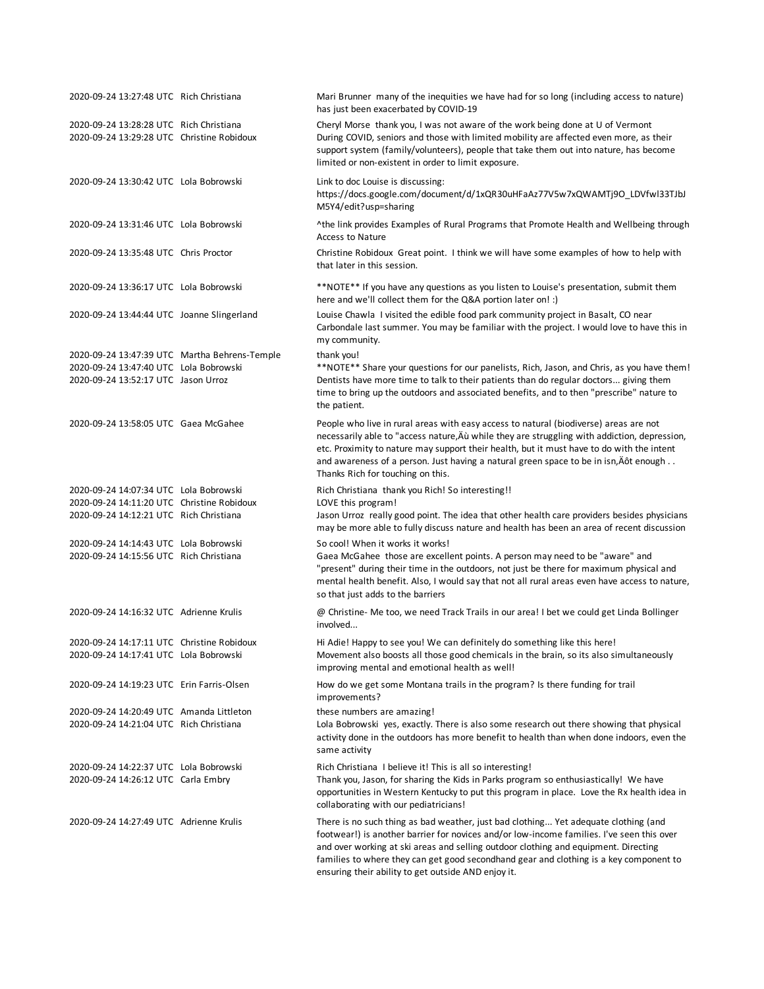| 2020-09-24 13:27:48 UTC Rich Christiana                                               | Mari Brunner many of the inequities we have had for so long (including access to nature)<br>has just been exacerbated by COVID-19                                                                                                                                                                                                                                                                                        |
|---------------------------------------------------------------------------------------|--------------------------------------------------------------------------------------------------------------------------------------------------------------------------------------------------------------------------------------------------------------------------------------------------------------------------------------------------------------------------------------------------------------------------|
| 2020-09-24 13:28:28 UTC Rich Christiana<br>2020-09-24 13:29:28 UTC Christine Robidoux | Cheryl Morse thank you, I was not aware of the work being done at U of Vermont<br>During COVID, seniors and those with limited mobility are affected even more, as their<br>support system (family/volunteers), people that take them out into nature, has become<br>limited or non-existent in order to limit exposure.                                                                                                 |
| 2020-09-24 13:30:42 UTC Lola Bobrowski                                                | Link to doc Louise is discussing:<br>https://docs.google.com/document/d/1xQR30uHFaAz77V5w7xQWAMTj9O_LDVfwl33TJbJ<br>M5Y4/edit?usp=sharing                                                                                                                                                                                                                                                                                |
| 2020-09-24 13:31:46 UTC Lola Bobrowski                                                | ^the link provides Examples of Rural Programs that Promote Health and Wellbeing through<br><b>Access to Nature</b>                                                                                                                                                                                                                                                                                                       |
| 2020-09-24 13:35:48 UTC Chris Proctor                                                 | Christine Robidoux Great point. I think we will have some examples of how to help with<br>that later in this session.                                                                                                                                                                                                                                                                                                    |
| 2020-09-24 13:36:17 UTC Lola Bobrowski                                                | **NOTE** If you have any questions as you listen to Louise's presentation, submit them<br>here and we'll collect them for the Q&A portion later on! :)                                                                                                                                                                                                                                                                   |
| 2020-09-24 13:44:44 UTC Joanne Slingerland                                            | Louise Chawla I visited the edible food park community project in Basalt, CO near<br>Carbondale last summer. You may be familiar with the project. I would love to have this in<br>my community.                                                                                                                                                                                                                         |
| 2020-09-24 13:47:39 UTC Martha Behrens-Temple                                         | thank you!                                                                                                                                                                                                                                                                                                                                                                                                               |
| 2020-09-24 13:47:40 UTC Lola Bobrowski                                                | **NOTE** Share your questions for our panelists, Rich, Jason, and Chris, as you have them!                                                                                                                                                                                                                                                                                                                               |
| 2020-09-24 13:52:17 UTC Jason Urroz                                                   | Dentists have more time to talk to their patients than do regular doctors giving them<br>time to bring up the outdoors and associated benefits, and to then "prescribe" nature to<br>the patient.                                                                                                                                                                                                                        |
| 2020-09-24 13:58:05 UTC Gaea McGahee                                                  | People who live in rural areas with easy access to natural (biodiverse) areas are not<br>necessarily able to "access nature, Au while they are struggling with addiction, depression,<br>etc. Proximity to nature may support their health, but it must have to do with the intent<br>and awareness of a person. Just having a natural green space to be in isn, Äôt enough<br>Thanks Rich for touching on this.         |
| 2020-09-24 14:07:34 UTC Lola Bobrowski                                                | Rich Christiana thank you Rich! So interesting!!                                                                                                                                                                                                                                                                                                                                                                         |
| 2020-09-24 14:11:20 UTC Christine Robidoux                                            | LOVE this program!                                                                                                                                                                                                                                                                                                                                                                                                       |
| 2020-09-24 14:12:21 UTC Rich Christiana                                               | Jason Urroz really good point. The idea that other health care providers besides physicians<br>may be more able to fully discuss nature and health has been an area of recent discussion                                                                                                                                                                                                                                 |
| 2020-09-24 14:14:43 UTC Lola Bobrowski                                                | So cool! When it works it works!                                                                                                                                                                                                                                                                                                                                                                                         |
| 2020-09-24 14:15:56 UTC Rich Christiana                                               | Gaea McGahee those are excellent points. A person may need to be "aware" and<br>"present" during their time in the outdoors, not just be there for maximum physical and<br>mental health benefit. Also, I would say that not all rural areas even have access to nature,<br>so that just adds to the barriers                                                                                                            |
| 2020-09-24 14:16:32 UTC Adrienne Krulis                                               | @ Christine- Me too, we need Track Trails in our area! I bet we could get Linda Bollinger<br>involved                                                                                                                                                                                                                                                                                                                    |
| 2020-09-24 14:17:11 UTC Christine Robidoux                                            | Hi Adie! Happy to see you! We can definitely do something like this here!                                                                                                                                                                                                                                                                                                                                                |
| 2020-09-24 14:17:41 UTC Lola Bobrowski                                                | Movement also boosts all those good chemicals in the brain, so its also simultaneously<br>improving mental and emotional health as well!                                                                                                                                                                                                                                                                                 |
| 2020-09-24 14:19:23 UTC Erin Farris-Olsen                                             | How do we get some Montana trails in the program? Is there funding for trail<br>improvements?                                                                                                                                                                                                                                                                                                                            |
| 2020-09-24 14:20:49 UTC Amanda Littleton                                              | these numbers are amazing!                                                                                                                                                                                                                                                                                                                                                                                               |
| 2020-09-24 14:21:04 UTC Rich Christiana                                               | Lola Bobrowski yes, exactly. There is also some research out there showing that physical<br>activity done in the outdoors has more benefit to health than when done indoors, even the<br>same activity                                                                                                                                                                                                                   |
| 2020-09-24 14:22:37 UTC Lola Bobrowski                                                | Rich Christiana I believe it! This is all so interesting!                                                                                                                                                                                                                                                                                                                                                                |
| 2020-09-24 14:26:12 UTC Carla Embry                                                   | Thank you, Jason, for sharing the Kids in Parks program so enthusiastically! We have<br>opportunities in Western Kentucky to put this program in place. Love the Rx health idea in<br>collaborating with our pediatricians!                                                                                                                                                                                              |
| 2020-09-24 14:27:49 UTC Adrienne Krulis                                               | There is no such thing as bad weather, just bad clothing Yet adequate clothing (and<br>footwear!) is another barrier for novices and/or low-income families. I've seen this over<br>and over working at ski areas and selling outdoor clothing and equipment. Directing<br>families to where they can get good secondhand gear and clothing is a key component to<br>ensuring their ability to get outside AND enjoy it. |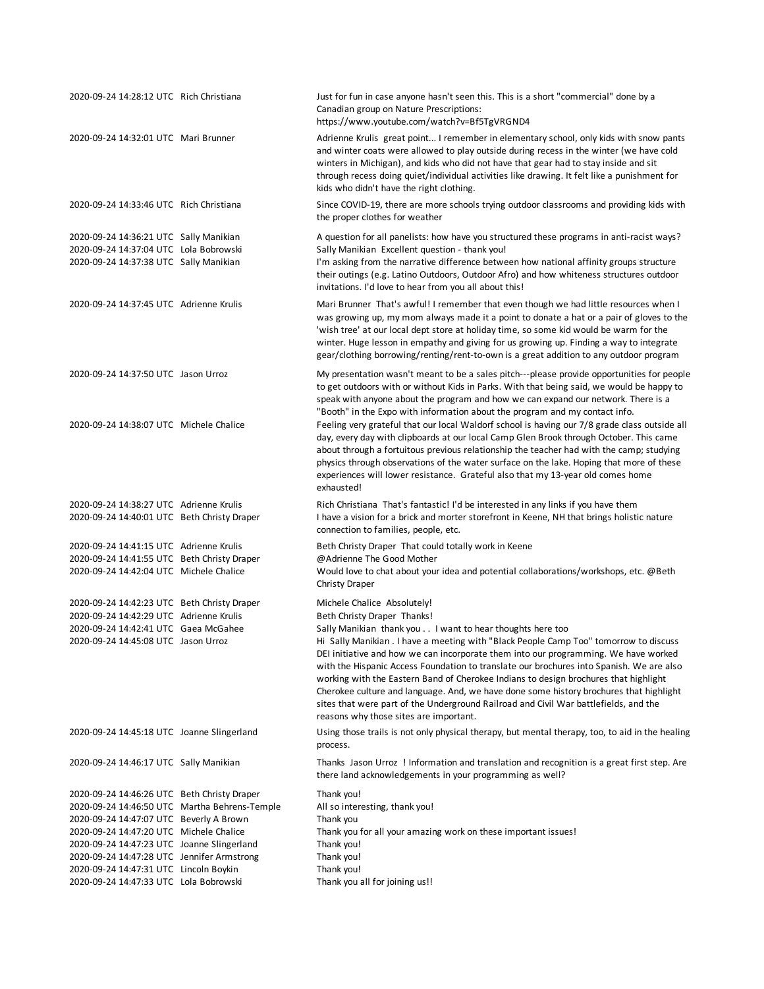| 2020-09-24 14:28:12 UTC Rich Christiana                                                                                    | Just for fun in case anyone hasn't seen this. This is a short "commercial" done by a<br>Canadian group on Nature Prescriptions:<br>https://www.youtube.com/watch?v=Bf5TgVRGND4                                                                                                                                                                                                                                                                                                                                                                                                                                                                            |
|----------------------------------------------------------------------------------------------------------------------------|-----------------------------------------------------------------------------------------------------------------------------------------------------------------------------------------------------------------------------------------------------------------------------------------------------------------------------------------------------------------------------------------------------------------------------------------------------------------------------------------------------------------------------------------------------------------------------------------------------------------------------------------------------------|
| 2020-09-24 14:32:01 UTC Mari Brunner                                                                                       | Adrienne Krulis great point I remember in elementary school, only kids with snow pants<br>and winter coats were allowed to play outside during recess in the winter (we have cold<br>winters in Michigan), and kids who did not have that gear had to stay inside and sit<br>through recess doing quiet/individual activities like drawing. It felt like a punishment for<br>kids who didn't have the right clothing.                                                                                                                                                                                                                                     |
| 2020-09-24 14:33:46 UTC Rich Christiana                                                                                    | Since COVID-19, there are more schools trying outdoor classrooms and providing kids with<br>the proper clothes for weather                                                                                                                                                                                                                                                                                                                                                                                                                                                                                                                                |
| 2020-09-24 14:36:21 UTC Sally Manikian<br>2020-09-24 14:37:04 UTC Lola Bobrowski<br>2020-09-24 14:37:38 UTC Sally Manikian | A question for all panelists: how have you structured these programs in anti-racist ways?<br>Sally Manikian Excellent question - thank you!<br>I'm asking from the narrative difference between how national affinity groups structure<br>their outings (e.g. Latino Outdoors, Outdoor Afro) and how whiteness structures outdoor<br>invitations. I'd love to hear from you all about this!                                                                                                                                                                                                                                                               |
| 2020-09-24 14:37:45 UTC Adrienne Krulis                                                                                    | Mari Brunner That's awful! I remember that even though we had little resources when I<br>was growing up, my mom always made it a point to donate a hat or a pair of gloves to the<br>'wish tree' at our local dept store at holiday time, so some kid would be warm for the<br>winter. Huge lesson in empathy and giving for us growing up. Finding a way to integrate<br>gear/clothing borrowing/renting/rent-to-own is a great addition to any outdoor program                                                                                                                                                                                          |
| 2020-09-24 14:37:50 UTC Jason Urroz                                                                                        | My presentation wasn't meant to be a sales pitch---please provide opportunities for people<br>to get outdoors with or without Kids in Parks. With that being said, we would be happy to<br>speak with anyone about the program and how we can expand our network. There is a<br>"Booth" in the Expo with information about the program and my contact info.                                                                                                                                                                                                                                                                                               |
| 2020-09-24 14:38:07 UTC Michele Chalice                                                                                    | Feeling very grateful that our local Waldorf school is having our 7/8 grade class outside all<br>day, every day with clipboards at our local Camp Glen Brook through October. This came<br>about through a fortuitous previous relationship the teacher had with the camp; studying<br>physics through observations of the water surface on the lake. Hoping that more of these<br>experiences will lower resistance. Grateful also that my 13-year old comes home<br>exhausted!                                                                                                                                                                          |
| 2020-09-24 14:38:27 UTC Adrienne Krulis<br>2020-09-24 14:40:01 UTC Beth Christy Draper                                     | Rich Christiana That's fantastic! I'd be interested in any links if you have them<br>I have a vision for a brick and morter storefront in Keene, NH that brings holistic nature<br>connection to families, people, etc.                                                                                                                                                                                                                                                                                                                                                                                                                                   |
| 2020-09-24 14:41:15 UTC Adrienne Krulis                                                                                    | Beth Christy Draper That could totally work in Keene                                                                                                                                                                                                                                                                                                                                                                                                                                                                                                                                                                                                      |
| 2020-09-24 14:41:55 UTC Beth Christy Draper<br>2020-09-24 14:42:04 UTC Michele Chalice                                     | @Adrienne The Good Mother<br>Would love to chat about your idea and potential collaborations/workshops, etc. @Beth<br><b>Christy Draper</b>                                                                                                                                                                                                                                                                                                                                                                                                                                                                                                               |
| 2020-09-24 14:42:23 UTC Beth Christy Draper                                                                                | Michele Chalice Absolutely!                                                                                                                                                                                                                                                                                                                                                                                                                                                                                                                                                                                                                               |
| 2020-09-24 14:42:29 UTC Adrienne Krulis                                                                                    | Beth Christy Draper Thanks!                                                                                                                                                                                                                                                                                                                                                                                                                                                                                                                                                                                                                               |
| 2020-09-24 14:42:41 UTC Gaea McGahee<br>2020-09-24 14:45:08 UTC Jason Urroz                                                | Sally Manikian thank you I want to hear thoughts here too<br>Hi Sally Manikian . I have a meeting with "Black People Camp Too" tomorrow to discuss<br>DEI initiative and how we can incorporate them into our programming. We have worked<br>with the Hispanic Access Foundation to translate our brochures into Spanish. We are also<br>working with the Eastern Band of Cherokee Indians to design brochures that highlight<br>Cherokee culture and language. And, we have done some history brochures that highlight<br>sites that were part of the Underground Railroad and Civil War battlefields, and the<br>reasons why those sites are important. |
| 2020-09-24 14:45:18 UTC Joanne Slingerland                                                                                 | Using those trails is not only physical therapy, but mental therapy, too, to aid in the healing<br>process.                                                                                                                                                                                                                                                                                                                                                                                                                                                                                                                                               |
| 2020-09-24 14:46:17 UTC Sally Manikian                                                                                     | Thanks Jason Urroz ! Information and translation and recognition is a great first step. Are<br>there land acknowledgements in your programming as well?                                                                                                                                                                                                                                                                                                                                                                                                                                                                                                   |
| 2020-09-24 14:46:26 UTC Beth Christy Draper                                                                                | Thank you!                                                                                                                                                                                                                                                                                                                                                                                                                                                                                                                                                                                                                                                |
| 2020-09-24 14:46:50 UTC Martha Behrens-Temple                                                                              | All so interesting, thank you!                                                                                                                                                                                                                                                                                                                                                                                                                                                                                                                                                                                                                            |
| 2020-09-24 14:47:07 UTC Beverly A Brown<br>2020-09-24 14:47:20 UTC Michele Chalice                                         | Thank you<br>Thank you for all your amazing work on these important issues!                                                                                                                                                                                                                                                                                                                                                                                                                                                                                                                                                                               |
| 2020-09-24 14:47:23 UTC Joanne Slingerland                                                                                 | Thank you!                                                                                                                                                                                                                                                                                                                                                                                                                                                                                                                                                                                                                                                |
| 2020-09-24 14:47:28 UTC Jennifer Armstrong                                                                                 | Thank you!                                                                                                                                                                                                                                                                                                                                                                                                                                                                                                                                                                                                                                                |
| 2020-09-24 14:47:31 UTC Lincoln Boykin                                                                                     | Thank you!                                                                                                                                                                                                                                                                                                                                                                                                                                                                                                                                                                                                                                                |
| 2020-09-24 14:47:33 UTC Lola Bobrowski                                                                                     | Thank you all for joining us!!                                                                                                                                                                                                                                                                                                                                                                                                                                                                                                                                                                                                                            |